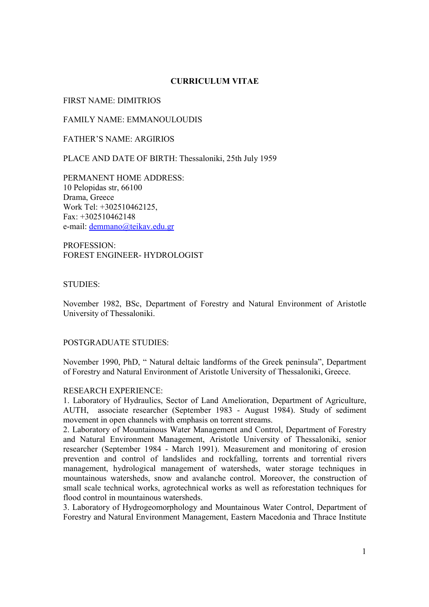# **CURRICULUM VITAE**

FIRST NAME: DIMITRIOS

FAMILY NAME: EMMANOULOUDIS

FATHER'S NAME: ARGIRIOS

PLACE AND DATE OF BIRTH: Thessaloniki, 25th July 1959

PERMANENT HOME ADDRESS: 10 Pelopidas str, 66100 Drama, Greece Work Tel: +302510462125, Fax: +302510462148 e-mail: demmano@teikav.edu.gr

PROFESSION: FOREST ENGINEER- HYDROLOGIST

#### STUDIES:

November 1982, BSc, Department of Forestry and Natural Environment of Aristotle University of Thessaloniki.

#### POSTGRADUATE STUDIES:

November 1990, PhD, " Natural deltaic landforms of the Greek peninsula", Department of Forestry and Natural Environment of Aristotle University of Thessaloniki, Greece.

#### RESEARCH EXPERIENCE:

1. Laboratory of Hydraulics, Sector of Land Amelioration, Department of Agriculture, AUTH, associate researcher (September 1983 - August 1984). Study of sediment movement in open channels with emphasis on torrent streams.

2. Laboratory of Mountainous Water Management and Control, Department of Forestry and Natural Environment Management, Aristotle University of Thessaloniki, senior researcher (September 1984 - March 1991). Measurement and monitoring of erosion prevention and control of landslides and rockfalling, torrents and torrential rivers management, hydrological management of watersheds, water storage techniques in mountainous watersheds, snow and avalanche control. Moreover, the construction of small scale technical works, agrotechnical works as well as reforestation techniques for flood control in mountainous watersheds.

3. Laboratory of Hydrogeomorphology and Mountainous Water Control, Department of Forestry and Natural Environment Management, Eastern Macedonia and Thrace Institute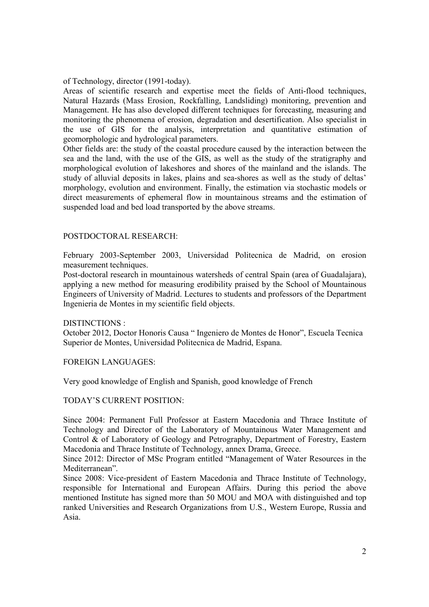of Technology, director (1991-today).

Areas of scientific research and expertise meet the fields of Anti-flood techniques, Natural Hazards (Mass Erosion, Rockfalling, Landsliding) monitoring, prevention and Management. He has also developed different techniques for forecasting, measuring and monitoring the phenomena of erosion, degradation and desertification. Also specialist in the use of GIS for the analysis, interpretation and quantitative estimation of geomorphologic and hydrological parameters.

Other fields are: the study of the coastal procedure caused by the interaction between the sea and the land, with the use of the GIS, as well as the study of the stratigraphy and morphological evolution of lakeshores and shores of the mainland and the islands. The study of alluvial deposits in lakes, plains and sea-shores as well as the study of deltas' morphology, evolution and environment. Finally, the estimation via stochastic models or direct measurements of ephemeral flow in mountainous streams and the estimation of suspended load and bed load transported by the above streams.

### POSTDOCTORAL RESEARCH:

February 2003-September 2003, Universidad Politecnica de Madrid, on erosion measurement techniques.

Post-doctoral research in mountainous watersheds of central Spain (area of Guadalajara), applying a new method for measuring erodibility praised by the School of Mountainous Engineers of University of Madrid. Lectures to students and professors of the Department Ingenieria de Montes in my scientific field objects.

#### DISTINCTIONS :

October 2012, Doctor Honoris Causa " Ingeniero de Montes de Honor", Escuela Tecnica Superior de Montes, Universidad Politecnica de Madrid, Espana.

FOREIGN LANGUAGES:

Very good knowledge of English and Spanish, good knowledge of French

#### TODAY'S CURRENT POSITION:

Since 2004: Permanent Full Professor at Eastern Macedonia and Thrace Institute of Technology and Director of the Laboratory of Mountainous Water Management and Control & of Laboratory of Geology and Petrography, Department of Forestry, Eastern Macedonia and Thrace Institute of Technology, annex Drama, Greece.

Since 2012: Director of MSc Program entitled "Management of Water Resources in the Mediterranean".

Since 2008: Vice-president of Eastern Macedonia and Thrace Institute of Technology, responsible for International and European Affairs. During this period the above mentioned Institute has signed more than 50 MOU and MOA with distinguished and top ranked Universities and Research Organizations from U.S., Western Europe, Russia and Asia.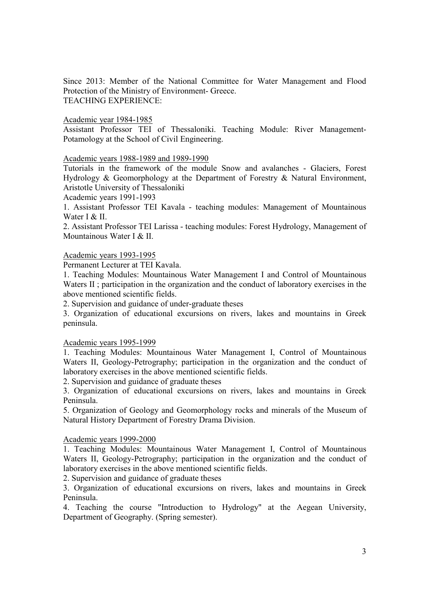Since 2013: Member of the National Committee for Water Management and Flood Protection of the Ministry of Environment- Greece. TEACHING EXPERIENCE:

Academic year 1984-1985

Assistant Professor TEI of Thessaloniki. Teaching Module: River Management-Potamology at the School of Civil Engineering.

Academic years 1988-1989 and 1989-1990

Tutorials in the framework of the module Snow and avalanches - Glaciers, Forest Hydrology & Geomorphology at the Department of Forestry & Natural Environment, Aristotle University of Thessaloniki

Academic years 1991-1993

1. Assistant Professor TEI Kavala - teaching modules: Management of Mountainous Water I & II.

2. Assistant Professor TEI Larissa - teaching modules: Forest Hydrology, Management of Mountainous Water I & II.

### Academic years 1993-1995

Permanent Lecturer at TEI Kavala.

1. Teaching Modules: Mountainous Water Management I and Control of Mountainous Waters II ; participation in the organization and the conduct of laboratory exercises in the above mentioned scientific fields.

2. Supervision and guidance of under-graduate theses

3. Organization of educational excursions on rivers, lakes and mountains in Greek peninsula.

Academic years 1995-1999

1. Teaching Modules: Mountainous Water Management I, Control of Mountainous Waters II, Geology-Petrography; participation in the organization and the conduct of laboratory exercises in the above mentioned scientific fields.

2. Supervision and guidance of graduate theses

3. Organization of educational excursions on rivers, lakes and mountains in Greek Peninsula.

5. Organization of Geology and Geomorphology rocks and minerals of the Museum of Natural History Department of Forestry Drama Division.

Academic years 1999-2000

1. Teaching Modules: Mountainous Water Management I, Control of Mountainous Waters II, Geology-Petrography; participation in the organization and the conduct of laboratory exercises in the above mentioned scientific fields.

2. Supervision and guidance of graduate theses

3. Organization of educational excursions on rivers, lakes and mountains in Greek Peninsula.

4. Teaching the course "Introduction to Hydrology" at the Aegean University, Department of Geography. (Spring semester).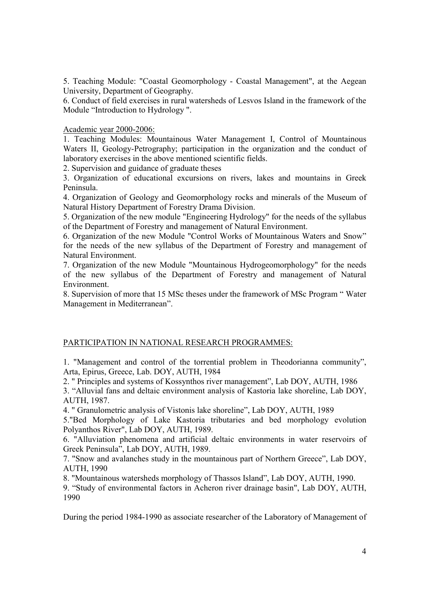5. Teaching Module: "Coastal Geomorphology - Coastal Management", at the Aegean University, Department of Geography.

6. Conduct of field exercises in rural watersheds of Lesvos Island in the framework of the Module "Introduction to Hydrology ".

### Academic year 2000-2006:

1. Teaching Modules: Mountainous Water Management I, Control of Mountainous Waters II, Geology-Petrography; participation in the organization and the conduct of laboratory exercises in the above mentioned scientific fields.

2. Supervision and guidance of graduate theses

3. Organization of educational excursions on rivers, lakes and mountains in Greek Peninsula.

4. Organization of Geology and Geomorphology rocks and minerals of the Museum of Natural History Department of Forestry Drama Division.

5. Organization of the new module "Engineering Hydrology" for the needs of the syllabus of the Department of Forestry and management of Natural Environment.

6. Organization of the new Module "Control Works of Mountainous Waters and Snow" for the needs of the new syllabus of the Department of Forestry and management of Natural Environment.

7. Organization of the new Module "Mountainous Hydrogeomorphology" for the needs of the new syllabus of the Department of Forestry and management of Natural Environment.

8. Supervision of more that 15 MSc theses under the framework of MSc Program " Water Management in Mediterranean".

# PARTICIPATION IN NATIONAL RESEARCH PROGRAMMES:

1. "Management and control of the torrential problem in Theodorianna community", Arta, Epirus, Greece, Lab. DOY, AUTH, 1984

2. " Principles and systems of Kossynthos river management", Lab DOY, AUTH, 1986

3. "Alluvial fans and deltaic environment analysis of Kastoria lake shoreline, Lab DOY, AUTH, 1987.

4. " Granulometric analysis of Vistonis lake shoreline", Lab DOY, AUTH, 1989

5."Bed Morphology of Lake Kastoria tributaries and bed morphology evolution Polyanthos River", Lab DOY, AUTH, 1989.

6. "Alluviation phenomena and artificial deltaic environments in water reservoirs of Greek Peninsula", Lab DOY, AUTH, 1989.

7. "Snow and avalanches study in the mountainous part of Northern Greece", Lab DOY, AUTH, 1990

8. "Mountainous watersheds morphology of Thassos Island", Lab DOY, AUTH, 1990.

9. "Study of environmental factors in Acheron river drainage basin", Lab DOY, AUTH, 1990

During the period 1984-1990 as associate researcher of the Laboratory of Management of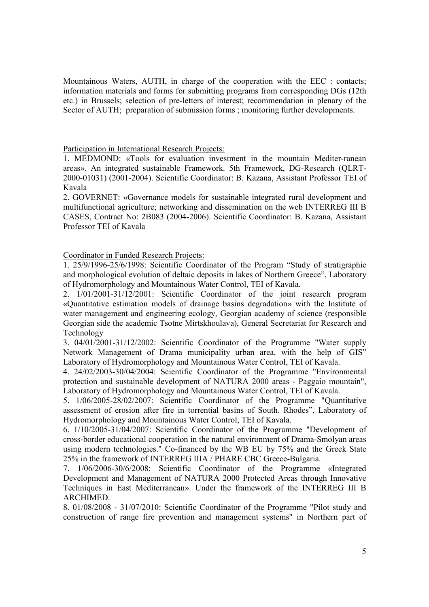Mountainous Waters, AUTH, in charge of the cooperation with the EEC : contacts; information materials and forms for submitting programs from corresponding DGs (12th etc.) in Brussels; selection of pre-letters of interest; recommendation in plenary of the Sector of AUTH; preparation of submission forms ; monitoring further developments.

### Participation in International Research Projects:

1. MEDMOND: «Tools for evaluation investment in the mountain Mediter-ranean areas». An integrated sustainable Framework. 5th Framework, DG-Research (QLRT-2000-01031) (2001-2004). Scientific Coordinator: B. Kazana, Assistant Professor TEI of Kavala

2. GOVERNET: «Governance models for sustainable integrated rural development and multifunctional agriculture; networking and dissemination on the web INTERREG III B CASES, Contract No: 2B083 (2004-2006). Scientific Coordinator: B. Kazana, Assistant Professor TEI of Kavala

# Coordinator in Funded Research Projects:

1. 25/9/1996-25/6/1998: Scientific Coordinator of the Program "Study of stratigraphic and morphological evolution of deltaic deposits in lakes of Northern Greece", Laboratory of Hydromorphology and Mountainous Water Control, TEI of Kavala.

2. 1/01/2001-31/12/2001: Scientific Coordinator of the joint research program «Quantitative estimation models of drainage basins degradation» with the Institute of water management and engineering ecology, Georgian academy of science (responsible Georgian side the academic Tsotne Mirtskhoulava), General Secretariat for Research and Technology

3. 04/01/2001-31/12/2002: Scientific Coordinator of the Programme "Water supply Network Management of Drama municipality urban area, with the help of GIS" Laboratory of Hydromorphology and Mountainous Water Control, TEI of Kavala.

4. 24/02/2003-30/04/2004: Scientific Coordinator of the Programme "Environmental protection and sustainable development of NATURA 2000 areas - Paggaio mountain", Laboratory of Hydromorphology and Mountainous Water Control, TEI of Kavala.

5. 1/06/2005-28/02/2007: Scientific Coordinator of the Programme "Quantitative assessment of erosion after fire in torrential basins of South. Rhodes", Laboratory of Hydromorphology and Mountainous Water Control, TEI of Kavala.

6. 1/10/2005-31/04/2007: Scientific Coordinator of the Programme "Development of cross-border educational cooperation in the natural environment of Drama-Smolyan areas using modern technologies." Co-financed by the WB EU by 75% and the Greek State 25% in the framework of INTERREG IIIA / PHARE CBC Greece-Bulgaria.

7. 1/06/2006-30/6/2008: Scientific Coordinator of the Programme «Integrated Development and Management of NATURA 2000 Protected Areas through Innovative Techniques in East Mediterranean». Under the framework of the INTERREG III B ARCHIMED.

8. 01/08/2008 - 31/07/2010: Scientific Coordinator of the Programme "Pilot study and construction of range fire prevention and management systems" in Northern part of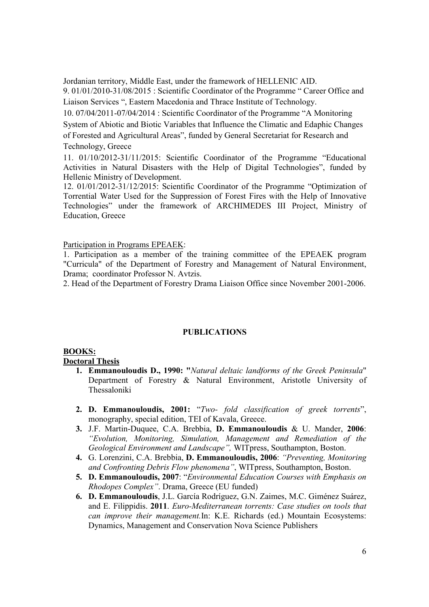Jordanian territory, Middle East, under the framework of HELLENIC AID.

9. 01/01/2010-31/08/2015 : Scientific Coordinator of the Programme " Career Office and Liaison Services ", Eastern Macedonia and Thrace Institute of Technology.

10. 07/04/2011-07/04/2014 : Scientific Coordinator of the Programme "A Monitoring

System of Abiotic and Biotic Variables that Influence the Climatic and Edaphic Changes of Forested and Agricultural Areas", funded by General Secretariat for Research and Technology, Greece

11. 01/10/2012-31/11/2015: Scientific Coordinator of the Programme "Educational Activities in Natural Disasters with the Help of Digital Technologies", funded by Hellenic Ministry of Development.

12. 01/01/2012-31/12/2015: Scientific Coordinator of the Programme "Optimization of Torrential Water Used for the Suppression of Forest Fires with the Help of Innovative Technologies" under the framework of ΑRCHIMEDES ΙΙΙ Project, Ministry of Education, Greece

Participation in Programs EPEAEK:

1. Participation as a member of the training committee of the EPEAEK program "Curricula" of the Department of Forestry and Management of Natural Environment, Drama; coordinator Professor N. Avtzis.

2. Head of the Department of Forestry Drama Liaison Office since November 2001-2006.

#### **PUBLICATIONS**

#### **BOOKS: Doctoral Thesis**

- **1. Emmanouloudis D., 1990: "***Natural deltaic landforms of the Greek Peninsula*" Department of Forestry & Natural Environment, Aristotle University of Thessaloniki
- **2. D. Emmanouloudis, 2001:** "*Two- fold classification of greek torrents*", monography, special edition, TEI of Kavala, Greece.
- **3.** J.F. Martin-Duquee, C.A. Brebbia, **D. Emmanouloudis** & U. Mander, **2006**: *"Evolution, Monitoring, Simulation, Management and Remediation of the Geological Environment and Landscape",* WITpress, Southampton, Boston.
- **4.** G. Lorenzini, C.A. Brebbia, **D. Emmanouloudis, 2006**: *"Preventing, Monitoring and Confronting Debris Flow phenomena"*, WITpress, Southampton, Boston.
- **5. D. Emmanouloudis, 2007**: "*Environmental Education Courses with Emphasis on Rhodopes Complex"*. Drama, Greece (EU funded)
- **6. D. Emmanouloudis**, J.L. García Rodríguez, G.N. Zaimes, M.C. Giménez Suárez, and E. Filippidis. **2011**. *Euro-Mediterranean torrents: Case studies on tools that can improve their management.*In: K.E. Richards (ed.) Mountain Ecosystems: Dynamics, Management and Conservation Nova Science Publishers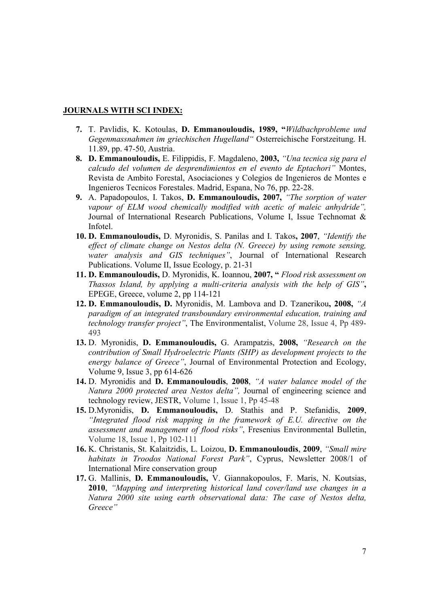#### **JOURNALS WITH SCI INDEX:**

- **7.** T. Pavlidis, K. Kotoulas, **D. Emmanouloudis, 1989, "***Wildbachprobleme und Gegenmassnahmen im griechischen Hugelland"* Osterreichische Forstzeitung. H. 11.89, pp. 47-50, Αustria.
- **8. D. Emmanouloudis,** E. Filippidis, F. Magdaleno, **2003,** *"Una tecnica sig para el calcudo del volumen de desprendimientos en el evento de Eptachori"* Montes, Revista de Ambito Forestal, Asociaciones y Colegios de Ingenieros de Montes e Ingenieros Tecnicos Forestales. Madrid, Espana, No 76, pp. 22-28.
- **9.** A. Papadopoulos, I. Takos, **D. Emmanouloudis, 2007,** *"The sorption of water vapour of ELM wood chemically modified with acetic of maleic anhydride",* Journal of International Research Publications, Volume I, Issue Technomat & Infotel.
- **10. D. Emmanouloudis,** D. Myronidis, S. Panilas and I. Takos**, 2007**, *"Identify the effect of climate change on Nestos delta (N. Greece) by using remote sensing, water analysis and GIS techniques"*, Journal of International Research Publications. Volume II, Issue Ecology, p. 21-31
- **11. D. Emmanouloudis,** D. Myronidis, K. Ioannou, **2007, "** *Flood risk assessment on Thassos Island, by applying a multi-criteria analysis with the help of GIS"***,**  EPEGE, Greece, volume 2, pp 114-121
- **12. D. Emmanouloudis, D.** Myronidis, Μ. Lambova and D. Tzanerikou**, 2008,** *"A paradigm of an integrated transboundary environmental education, training and technology transfer project"*, The Environmentalist, Volume 28, Issue 4, Pp 489- 493
- **13.** D. Myronidis, **D. Emmanouloudis,** G. Arampatzis, **2008,** *"Research on the contribution of Small Hydroelectric Plants (SHP) as development projects to the energy balance of Greece"*, Journal of Environmental Protection and Ecology, Volume 9, Issue 3, pp 614-626
- **14.** D. Myronidis and **D. Emmanouloudis**, **2008**, *"A water balance model of the Natura 2000 protected area Nestos delta",* Journal of engineering science and technology review, JESTR, Volume 1, Issue 1, Pp 45-48
- **15.** D.Myronidis, **D. Emmanouloudis,** D. Stathis and P. Stefanidis, **2009**, *"Integrated flood risk mapping in the framework of E.U. directive on the assessment and management of flood risks"*, Fresenius Environmental Bulletin, Volume 18, Issue 1, Pp 102-111
- **16.** K. Christanis, St. Kalaitzidis, L. Loizou, **D. Emmanouloudis**, **2009**, *"Small mire habitats in Troodos National Forest Park"*, Cyprus, Newsletter 2008/1 of International Mire conservation group
- **17.** G. Mallinis, **D. Emmanouloudis,** V. Giannakopoulos, F. Maris, N. Koutsias, **2010**, *"Mapping and interpreting historical land cover/land use changes in a Natura 2000 site using earth observational data: The case of Nestos delta, Greece"*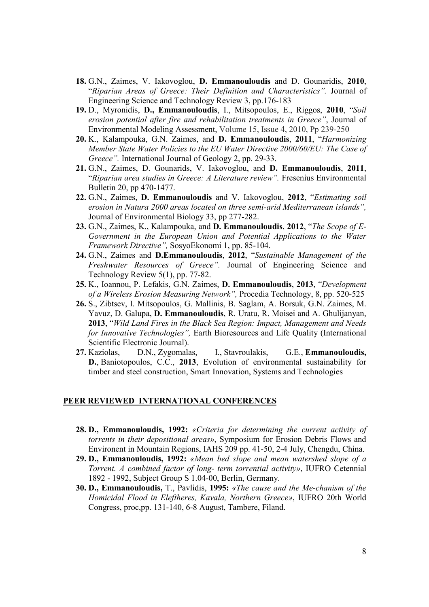- **18.** G.N., Zaimes, V. Iakovoglou, **D. Emmanouloudis** and D. Gounaridis, **2010**, "*Riparian Areas of Greece: Their Definition and Characteristics".* Journal of Engineering Science and Technology Review 3, pp.176-183
- **19.** D., Myronidis, **D., Emmanouloudis**, I., Mitsopoulos, E., Riggos, **2010**, "*Soil erosion potential after fire and rehabilitation treatments in Greece"*, Journal of Environmental Modeling Assessment, Volume 15, Issue 4, 2010, Pp 239-250
- **20.** K., Kalampouka, G.N. Zaimes, and **D. Emmanouloudis**, **2011**, "*Harmonizing Member State Water Policies to the EU Water Directive 2000/60/EU: The Case of Greece".* International Journal of Geology 2, pp. 29-33.
- **21.** G.N., Zaimes, D. Gounarids, V. Iakovoglou, and **D. Emmanouloudis**, **2011**, "*Riparian area studies in Greece: A Literature review".* Fresenius Environmental Bulletin 20, pp 470-1477.
- **22.** G.N., Zaimes, **D. Emmanouloudis** and V. Iakovoglou, **2012**, "*Estimating soil erosion in Natura 2000 areas located on three semi-arid Mediterranean islands",*  Journal of Environmental Biology 33, pp 277-282.
- **23.** G.N., Zaimes, K., Kalampouka, and **D. Emmanouloudis**, **2012**, "*The Scope of E-Government in the European Union and Potential Applications to the Water Framework Directive",* SosyoEkonomi 1, pp. 85-104.
- **24.** G.N., Zaimes and **D.Emmanouloudis**, **2012**, "*Sustainable Management of the Freshwater Resources of Greece".* Journal of Engineering Science and Technology Review 5(1), pp. 77-82.
- **25.** K., Ioannou, P. Lefakis, G.N. Zaimes, **D. Emmanouloudis**, **2013**, "*Development of a Wireless Erosion Measuring Network",* Procedia Technology, 8, pp. 520-525
- **26.** S., Zibtsev, I. Mitsopoulos, G. Mallinis, B. Saglam, A. Borsuk, G.N. Zaimes, M. Yavuz, D. Galupa, **D. Emmanouloudis**, R. Uratu, R. Moisei and A. Ghulijanyan, **2013**, "*Wild Land Fires in the Black Sea Region: Impact, Management and Needs for Innovative Technologies",* Earth Bioresources and Life Quality (International Scientific Electronic Journal).
- **27.** Kaziolas, D.N., Zygomalas, I., Stavroulakis, G.E., **Emmanouloudis, D.**, Baniotopoulos, C.C., **2013**, Evolution of environmental sustainability for timber and steel construction, Smart Innovation, Systems and Technologies

### **PEER REVIEWED INTERNATIONAL CONFERENCES**

- **28. D., Emmanouloudis, 1992:** *«Criteria for determining the current activity of torrents in their depositional areas»*, Symposium for Erosion Debris Flows and Environent in Mountain Regions, IAHS 209 pp. 41-50, 2-4 July, Chengdu, China.
- **29. D., Emmanouloudis, 1992:** *«Mean bed slope and mean watershed slope of a Torrent. A combined factor of long- term torrential activity»*, IUFRO Cetennial 1892 - 1992, Subject Group S 1.04-00, Berlin, Germany.
- **30. D., Emmanouloudis,** T., Pavlidis, **1995:** *«The cause and the Me-chanism of the Homicidal Flood in Eleftheres, Kavala, Northern Greece»*, IUFRO 20th World Congress, proc,pp. 131-140, 6-8 August, Tambere, Filand.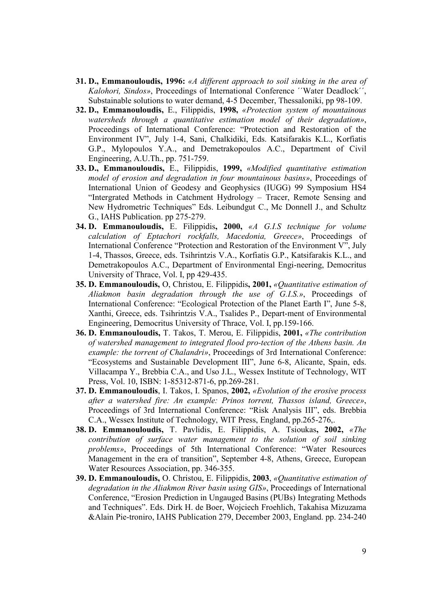- **31. D., Emmanouloudis, 1996:** *«A different approach to soil sinking in the area of Kalohori, Sindos»*, Proceedings of International Conference ΄΄Water Deadlock΄΄, Substainable solutions to water demand, 4-5 December, Thessaloniki, pp 98-109.
- **32. D., Emmanouloudis,** E., Filippidis, **1998,** *«Protection system of mountainous watersheds through a quantitative estimation model of their degradation»*, Proceedings of International Conference: "Protection and Restoration of the Environment IV", July 1-4, Sani, Chalkidiki, Eds. Katsifarakis K.L., Korfiatis G.P., Mylopoulos Y.A., and Demetrakopoulos A.C., Department of Civil Engineering, A.U.Th., pp. 751-759.
- **33. D., Emmanouloudis,** E., Filippidis, **1999,** *«Modified quantitative estimation model of erosion and degradation in four mountainous basins»*, Proceedings of International Union of Geodesy and Geophysics (IUGG) 99 Symposium HS4 "Intergrated Methods in Catchment Hydrology – Tracer, Remote Sensing and New Hydrometric Techniques" Eds. Leibundgut C., Mc Donnell J., and Schultz G., IAHS Publication. pp 275-279.
- **34. D. Emmanouloudis,** E. Filippidis**, 2000,** *«A G.I.S technique for volume calculation of Eptachori rockfalls, Macedonia, Greece»*, Proceedings of International Conference "Protection and Restoration of the Environment V", July 1-4, Thassos, Greece, eds. Tsihrintzis V.A., Korfiatis G.P., Katsifarakis K.L., and Demetrakopoulos A.C., Department of Environmental Engi-neering, Democritus University of Thrace, Vol. I, pp 429-435.
- **35. D. Emmanouloudis,** O, Christou, E. Filippidis**, 2001,** *«Quantitative estimation of Aliakmon basin degradation through the use of G.I.S.»*, Proceedings of International Conference: "Ecological Protection of the Planet Earth I", June 5-8, Xanthi, Greece, eds. Tsihrintzis V.A., Tsalides P., Depart-ment of Environmental Engineering, Democritus University of Thrace, Vol. I, pp.159-166.
- **36. D. Emmanouloudis,** T. Takos, T. Merou, E. Filippidis, **2001,** *«The contribution of watershed management to integrated flood pro-tection of the Athens basin. An example: the torrent of Chalandri»*, Proceedings of 3rd International Conference: "Ecosystems and Sustainable Development III", June 6-8, Alicante, Spain, eds. Villacampa Y., Brebbia C.A., and Uso J.L., Wessex Institute of Technology, WIT Press, Vol. 10, ISBN: 1-85312-871-6, pp.269-281.
- **37. D. Emmanouloudis**, I. Takos, I. Spanos, **2002,** *«Evolution of the erosive process after a watershed fire: An example: Prinos torrent, Thassos island, Greece»*, Proceedings of 3rd International Conference: "Risk Analysis III", eds. Brebbia C.A., Wessex Institute of Technology, WIT Press, England, pp.265-276,.
- **38. D. Emmanouloudis,** T. Pavlidis, E. Filippidis, A. Tsioukas**, 2002,** *«The contribution of surface water management to the solution of soil sinking problems»*, Proceedings of 5th International Conference: "Water Resources Management in the era of transition", September 4-8, Athens, Greece, European Water Resources Association, pp. 346-355.
- **39. D. Emmanouloudis,** O. Christou, E. Filippidis, **2003**, *«Quantitative estimation of degradation in the Aliakmon River basin using GIS»*, Proceedings of International Conference, "Erosion Prediction in Ungauged Basins (PUBs) Integrating Methods and Techniques". Eds. Dirk H. de Boer, Wojciech Froehlich, Takahisa Mizuzama &Alain Pie-troniro, IAHS Publication 279, December 2003, England. pp. 234-240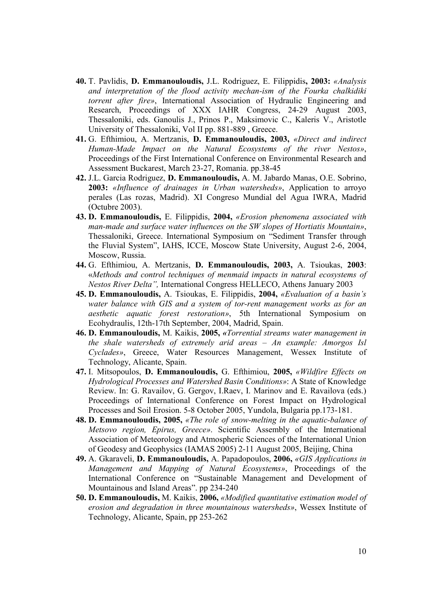- **40.** T. Pavlidis, **D. Emmanouloudis,** J.L. Rodriguez, E. Filippidis**, 2003:** *«Analysis and interpretation of the flood activity mechan-ism of the Fourka chalkidiki torrent after fire»*, International Association of Hydraulic Engineering and Research, Proceedings of XXX IAHR Congress, 24-29 August 2003, Thessaloniki, eds. Ganoulis J., Prinos P., Maksimovic C., Kaleris V., Aristotle University of Thessaloniki, Vol II pp. 881-889 , Greece.
- **41.** G. Efthimiou, A. Mertzanis, **D. Emmanouloudis, 2003,** *«Direct and indirect Human-Made Impact on the Natural Ecosystems of the river Nestos»*, Proceedings of the First International Conference on Environmental Research and Assessment Buckarest, March 23-27, Romania. pp.38-45
- **42.** J.L. Garcia Rodriguez, **D. Emmanouloudis,** A. M. Jabardo Manas, O.E. Sobrino, **2003:** *«Influence of drainages in Urban watersheds»*, Application to arroyo perales (Las rozas, Madrid). XI Congreso Mundial del Agua IWRA, Madrid (Octubre 2003).
- **43. D. Emmanouloudis,** E. Filippidis, **2004,** *«Erosion phenomena associated with man-made and surface water influences on the SW slopes of Hortiatis Mountain»*, Thessaloniki, Greece. International Symposium on "Sediment Transfer through the Fluvial System", IAHS, ICCE, Moscow State University, August 2-6, 2004, Moscow, Russia.
- **44.** G. Efthimiou, A. Mertzanis, **D. Emmanouloudis, 2003,** A. Tsioukas, **2003**: «*Methods and control techniques of menmaid impacts in natural ecosystems of Nestos River Delta",* International Congress HELLECO, Athens January 2003
- **45. D. Emmanouloudis,** A. Tsioukas, E. Filippidis, **2004,** *«Evaluation of a basin's water balance with GIS and a system of tor-rent management works as for an aesthetic aquatic forest restoration»*, 5th International Symposium on Ecohydraulis, 12th-17th September, 2004, Madrid, Spain.
- **46. D. Emmanouloudis,** M. Kaikis, **2005,** *«Torrential streams water management in the shale watersheds of extremely arid areas – An example: Amorgos Isl Cyclades»*, Greece, Water Resources Management, Wessex Institute of Technology, Alicante, Spain.
- **47.** I. Mitsopoulos, **D. Emmanouloudis,** G. Efthimiou, **2005,** *«Wildfire Effects on Hydrological Processes and Watershed Basin Conditions»*: A State of Knowledge Review. In: G. Ravailov, G. Gergov, I.Raev, I. Marinov and E. Ravailova (eds.) Proceedings of International Conference on Forest Impact on Hydrological Processes and Soil Erosion. 5-8 October 2005, Yundola, Bulgaria pp.173-181.
- **48. D. Emmanouloudis, 2005,** *«The role of snow-melting in the aquatic-balance of Metsovo region, Epirus, Greece»*. Scientific Assembly of the International Association of Meteorology and Atmospheric Sciences of the International Union of Geodesy and Geophysics (IAMAS 2005) 2-11 August 2005, Beijing, China
- **49.** A. Gkaraveli, **D. Emmanouloudis,** Α. Papadopoulos, **2006,** *«GIS Applications in Management and Mapping of Natural Ecosystems»*, Proceedings of the International Conference on "Sustainable Management and Development of Mountainous and Island Areas". pp 234-240
- **50. D. Emmanouloudis,** M. Kaikis, **2006,** *«Modified quantitative estimation model of erosion and degradation in three mountainous watersheds»*, Wessex Institute of Technology, Alicante, Spain, pp 253-262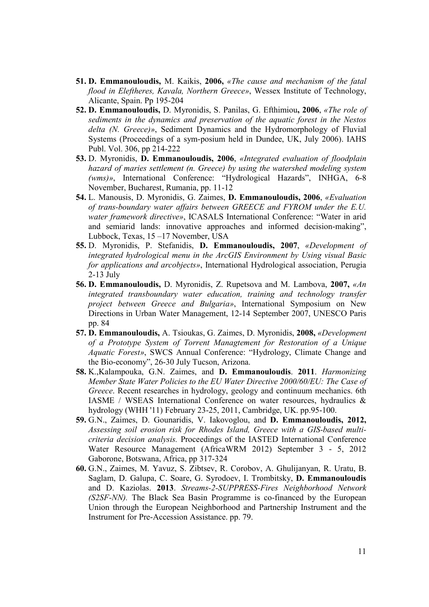- **51. D. Emmanouloudis,** M. Kaikis, **2006,** *«The cause and mechanism of the fatal flood in Eleftheres, Kavala, Northern Greece»*, Wessex Institute of Technology, Alicante, Spain. Pp 195-204
- **52. D. Emmanouloudis,** D. Myronidis, S. Panilas, G. Efthimiou**, 2006**, *«The role of sediments in the dynamics and preservation of the aquatic forest in the Nestos delta (N. Greece)»*, Sediment Dynamics and the Hydromorphology of Fluvial Systems (Proceedings of a sym-posium held in Dundee, UK, July 2006). IAHS Publ. Vol. 306, pp 214-222
- **53.** D. Myronidis, **D. Emmanouloudis, 2006**, *«Ιntegrated evaluation of floodplain hazard of maries settlement (n. Greece) by using the watershed modeling system (wms)»*, International Conference: "Hydrological Hazards", INHGA, 6-8 November, Bucharest, Rumania, pp. 11-12
- **54.** L. Manousis, D. Myronidis, G. Zaimes, **D. Emmanouloudis, 2006**, *«Εvaluation of trans-boundary water affairs between GREECE and FYROM under the Ε.U. water framework directive»*, ICASALS International Conference: "Water in arid and semiarid lands: innovative approaches and informed decision-making", Lubbock, Texas, 15 –17 November, USA
- **55.** D. Myronidis, P. Stefanidis, **D. Emmanouloudis, 2007**, *«Development of integrated hydrological menu in the ArcGIS Environment by Using visual Basic for applications and arcobjects»*, International Hydrological association, Perugia 2-13 July
- **56. D. Emmanouloudis,** D. Myronidis, Z. Rupetsova and M. Lambova, **2007,** *«An integrated transboundary water education, training and technology transfer project between Greece and Bulgaria»*, International Symposium on New Directions in Urban Water Management, 12-14 September 2007, UNESCO Paris pp. 84
- **57. D. Emmanouloudis,** A. Tsioukas, G. Zaimes, D. Myronidis, **2008,** *«Development of a Prototype System of Torrent Managtement for Restoration of a Unique Aquatic Forest»*, SWCS Annual Conference: "Hydrology, Climate Change and the Bio-economy", 26-30 July Tucson, Arizona.
- **58.** K.,Kalampouka, G.N. Zaimes, and **D. Emmanouloudis**. **2011**. *Harmonizing Member State Water Policies to the EU Water Directive 2000/60/EU: The Case of Greece*. Recent researches in hydrology, geology and continuum mechanics. 6th IASME / WSEAS International Conference on water resources, hydraulics & hydrology (WHH '11) February 23-25, 2011, Cambridge, UK. pp.95-100.
- **59.** G.N., Zaimes, D. Gounaridis, V. Iakovoglou, and **D. Emmanouloudis, 2012,** *Assessing soil erosion risk for Rhodes Island, Greece with a GIS-based multicriteria decision analysis.* Proceedings of the IASTED International Conference Water Resource Management (AfricaWRM 2012) September 3 - 5, 2012 Gaborone, Botswana, Africa, pp 317-324
- **60.** G.N., Zaimes, M. Yavuz, S. Zibtsev, R. Corobov, A. Ghulijanyan, R. Uratu, B. Saglam, D. Galupa, C. Soare, G. Syrodoev, I. Trombitsky, **D. Emmanouloudis** and D. Kaziolas. **2013**. *Streams-2-SUPPRESS-Fires Neighborhood Network (S2SF-NN).* The Black Sea Basin Programme is co-financed by the European Union through the European Neighborhood and Partnership Instrument and the Instrument for Pre-Accession Assistance. pp. 79.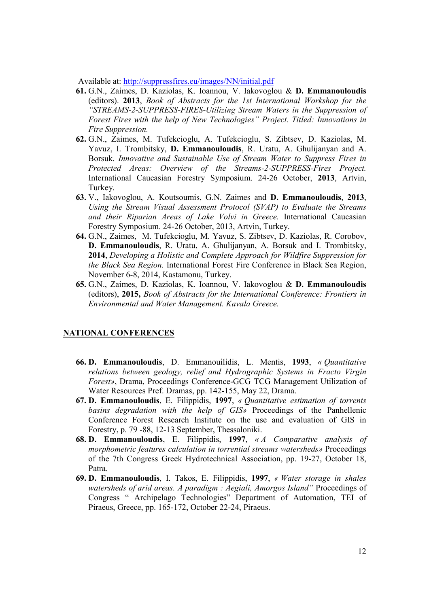Available at: http://suppressfires.eu/images/NN/initial.pdf

- **61.** G.N., Zaimes, D. Kaziolas, K. Ioannou, V. Iakovoglou & **D. Emmanouloudis** (editors). **2013**, *Book of Abstracts for the 1st International Workshop for the "STREAMS-2-SUPPRESS-FIRES-Utilizing Stream Waters in the Suppression of Forest Fires with the help of New Technologies" Project. Titled: Innovations in Fire Suppression.*
- **62.** G.N., Zaimes, M. Tufekcioglu, A. Tufekcioglu, S. Zibtsev, D. Kaziolas, M. Yavuz, I. Trombitsky, **D. Emmanouloudis**, R. Uratu, A. Ghulijanyan and A. Borsuk. *Innovative and Sustainable Use of Stream Water to Suppress Fires in Protected Areas: Overview of the Streams-2-SUPPRESS-Fires Project.*  International Caucasian Forestry Symposium. 24-26 October, **2013**, Artvin, Turkey.
- **63.** V., Iakovoglou, A. Koutsoumis, G.N. Zaimes and **D. Emmanouloudis**, **2013**, *Using the Stream Visual Assessment Protocol (SVAP) to Evaluate the Streams and their Riparian Areas of Lake Volvi in Greece.* International Caucasian Forestry Symposium. 24-26 October, 2013, Artvin, Turkey.
- **64.** G.N., Zaimes, M. Tufekcioglu, M. Yavuz, S. Zibtsev, D. Kaziolas, R. Corobov, **D. Emmanouloudis**, R. Uratu, A. Ghulijanyan, A. Borsuk and I. Trombitsky, **2014**, *Developing a Holistic and Complete Approach for Wildfire Suppression for the Black Sea Region.* International Forest Fire Conference in Black Sea Region, November 6-8, 2014, Kastamonu, Turkey.
- **65.** G.N., Zaimes, D. Kaziolas, K. Ioannou, V. Iakovoglou & **D. Emmanouloudis** (editors), **2015,** *Book of Abstracts for the International Conference: Frontiers in Environmental and Water Management. Kavala Greece.*

### **NATIONAL CONFERENCES**

- **66. D. Emmanouloudis**, D. Emmanouilidis, L. Mentis, **1993**, *« Quantitative relations between geology, relief and Hydrographic Systems in Fracto Virgin Forest»*, Drama, Proceedings Conference-GCG TCG Management Utilization of Water Resources Pref. Dramas, pp. 142-155, May 22, Drama.
- **67. D. Emmanouloudis**, E. Filippidis, **1997**, *« Quantitative estimation of torrents basins degradation with the help of GIS»* Proceedings of the Panhellenic Conference Forest Research Institute on the use and evaluation of GIS in Forestry, p. 79 -88, 12-13 September, Thessaloniki.
- **68. D. Emmanouloudis**, E. Filippidis, **1997**, *« A Comparative analysis of morphometric features calculation in torrential streams watersheds»* Proceedings of the 7th Congress Greek Hydrotechnical Association, pp. 19-27, October 18, Patra.
- **69. D. Emmanouloudis**, I. Takos, E. Filippidis, **1997**, *« Water storage in shales watersheds of arid areas. A paradigm : Aegiali, Amorgos Island"* Proceedings of Congress " Archipelago Technologies" Department of Automation, TEI of Piraeus, Greece, pp. 165-172, October 22-24, Piraeus.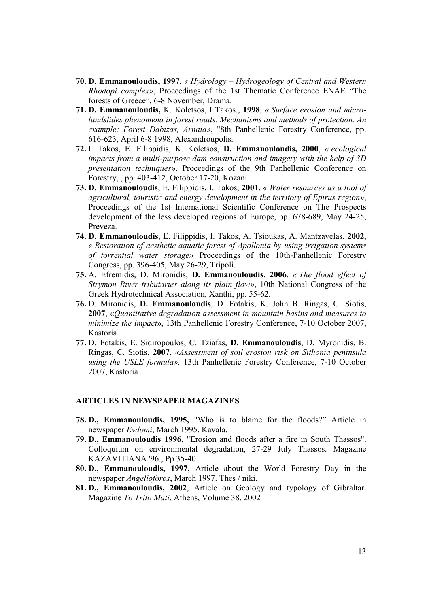- **70. D. Emmanouloudis, 1997**, *« Hydrology Hydrogeology of Central and Western Rhodopi complex»*, Proceedings of the 1st Thematic Conference ENAE "The forests of Greece", 6-8 November, Drama.
- **71. D. Emmanouloudis,** K. Koletsos, I Takos., **1998**, *« Surface erosion and microlandslides phenomena in forest roads. Mechanisms and methods of protection. An example: Forest Dabizas, Arnaia»*, "8th Panhellenic Forestry Conference, pp. 616-623, April 6-8 1998, Alexandroupolis.
- **72.** I. Takos, E. Filippidis, K. Koletsos, **D. Emmanouloudis, 2000**, *« ecological impacts from a multi-purpose dam construction and imagery with the help of 3D presentation techniques»*. Proceedings of the 9th Panhellenic Conference on Forestry, , pp. 403-412, October 17-20, Kozani.
- **73. D. Emmanouloudis**, E. Filippidis, I. Takos, **2001**, *« Water resources as a tool of agricultural, touristic and energy development in the territory of Epirus region»*, Proceedings of the 1st International Scientific Conference on The Prospects development of the less developed regions of Europe, pp. 678-689, May 24-25, Preveza.
- **74. D. Emmanouloudis**, E. Filippidis, I. Takos, A. Tsioukas, A. Mantzavelas, **2002**, *« Restoration of aesthetic aquatic forest of Apollonia by using irrigation systems of torrential water storage»* Proceedings of the 10th-Panhellenic Forestry Congress, pp. 396-405, May 26-29, Tripoli.
- **75.** A. Efremidis, D. Mironidis, **D. Emmanouloudis**, **2006**, *« The flood effect of Strymon River tributaries along its plain flow»*, 10th National Congress of the Greek Hydrotechnical Association, Xanthi, pp. 55-62.
- **76.** D. Mironidis, **D. Emmanouloudis**, D. Fotakis, K. John B. Ringas, C. Siotis, **2007**, «*Quantitative degradation assessment in mountain basins and measures to minimize the impact*», 13th Panhellenic Forestry Conference, 7-10 October 2007, Kastoria
- **77.** D. Fotakis, E. Sidiropoulos, C. Tziafas, **D. Emmanouloudis**, D. Myronidis, B. Ringas, C. Siotis, **2007**, *«Assessment of soil erosion risk on Sithonia peninsula using the USLE formula»,* 13th Panhellenic Forestry Conference, 7-10 October 2007, Kastoria

#### **ARTICLES IN NEWSPAPER MAGAZINES**

- **78. D., Emmanouloudis, 1995,** "Who is to blame for the floods?" Article in newspaper *Evdomi*, March 1995, Kavala.
- **79. D., Emmanouloudis 1996,** "Erosion and floods after a fire in South Thassos". Colloquium on environmental degradation, 27-29 July Thassos. Magazine KAZAVITIANA '96., Pp 35-40.
- **80. D., Emmanouloudis, 1997,** Article about the World Forestry Day in the newspaper *Angelioforos*, March 1997. Thes / niki.
- **81. D., Emmanouloudis, 2002**, Article on Geology and typology of Gibraltar. Magazine *To Trito Mati*, Athens, Volume 38, 2002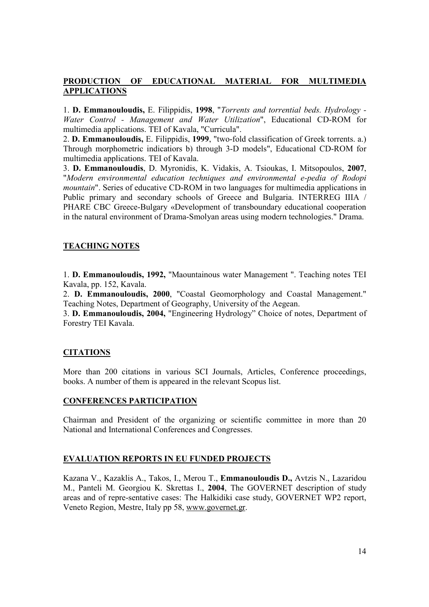# **PRODUCTION OF EDUCATIONAL MATERIAL FOR MULTIMEDIA APPLICATIONS**

1. **D. Emmanouloudis,** E. Filippidis, **1998**, "*Torrents and torrential beds. Hydrology - Water Control - Management and Water Utilization*", Educational CD-ROM for multimedia applications. ΤΕΙ of Kavala, "Curricula".

2. **D. Emmanouloudis,** E. Filippidis, **1999**, "two-fold classification of Greek torrents. a.) Through morphometric indicatiors b) through 3-D models", Educational CD-ROM for multimedia applications. TEI of Kavala.

3. **D. Emmanouloudis**, D. Myronidis, K. Vidakis, A. Tsioukas, I. Mitsopoulos, **2007**, "*Modern environmental education techniques and environmental e-pedia of Rodopi mountain*". Series of educative CD-ROM in two languages for multimedia applications in Public primary and secondary schools of Greece and Bulgaria. INTERREG IIIA / PHARE CBC Greece-Bulgary «Development of transboundary educational cooperation in the natural environment of Drama-Smolyan areas using modern technologies." Drama.

# **TEACHING NOTES**

1. **D. Emmanouloudis, 1992,** "Maountainous water Management ". Teaching notes TEI Kavala, pp. 152, Kavala.

2. **D. Emmanouloudis, 2000**, "Coastal Geomorphology and Coastal Management." Teaching Notes, Department of Geography, University of the Aegean.

3. **D. Emmanouloudis, 2004,** "Engineering Hydrology" Choice of notes, Department of Forestry TEI Kavala.

# **CITATIONS**

More than 200 citations in various SCI Journals, Articles, Conference proceedings, books. A number of them is appeared in the relevant Scopus list.

# **CONFERENCES PARTICIPATION**

Chairman and President of the organizing or scientific committee in more than 20 National and International Conferences and Congresses.

# **EVALUATION REPORTS IN EU FUNDED PROJECTS**

Kazana V., Kazaklis A., Takos, I., Merou T., **Emmanouloudis D.,** Avtzis N., Lazaridou M., Panteli M. Georgiou K. Skrettas I., **2004**, The GOVERNET description of study areas and of repre-sentative cases: The Halkidiki case study, GOVERNET WP2 report, Veneto Region, Mestre, Italy pp 58, www.governet.gr.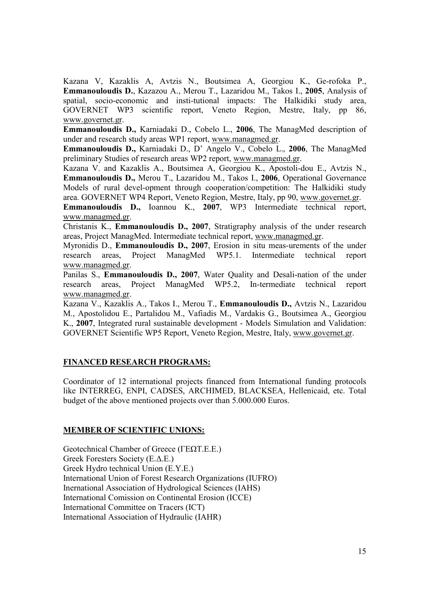Kazana V, Kazaklis A, Avtzis N., Boutsimea A, Georgiou K., Ge-rofoka P., **Emmanouloudis D.**, Kazazou A., Merou T., Lazaridou M., Takos I., **2005**, Analysis of spatial, socio-economic and insti-tutional impacts: The Halkidiki study area, GOVERNET WP3 scientific report, Veneto Region, Mestre, Italy, pp 86, www.governet.gr.

**Emmanouloudis D.,** Karniadaki D., Cobelo L., **2006**, The ManagMed description of under and research study areas WP1 report, www.managmed.gr.

**Emmanouloudis D.,** Karniadaki D., D' Angelo V., Cobelo L., **2006**, The ManagMed preliminary Studies of research areas WP2 report, www.managmed.gr.

Kazana V. and Kazaklis A., Boutsimea A, Georgiou K., Apostoli-dou E., Avtzis N., **Emmanouloudis D.,** Merou T., Lazaridou M., Takos I., **2006**, Operational Governance Models of rural devel-opment through cooperation/competition: The Halkidiki study area. GOVERNET WP4 Report, Veneto Region, Mestre, Italy, pp 90, www.governet.gr.

**Emmanouloudis D.,** Ioannou K., **2007**, WP3 Intermediate technical report, www.managmed.gr.

Christanis K., **Emmanouloudis D., 2007**, Stratigraphy analysis of the under research areas, Project ManagMed. Intermediate technical report, www.managmed.gr.

Myronidis D., **Emmanouloudis D., 2007**, Erosion in situ meas-urements of the under research areas, Project ManagMed WP5.1. Intermediate technical report www.managmed.gr.

Panilas S., **Emmanouloudis D., 2007**, Water Quality and Desali-nation of the under research areas, Project ManagMed WP5.2, In-termediate technical report www.managmed.gr.

Kazana V., Kazaklis A., Takos I., Merou T., **Emmanouloudis D.,** Avtzis N., Lazaridou M., Apostolidou E., Partalidou M., Vafiadis M., Vardakis G., Boutsimea A., Georgiou K., **2007**, Integrated rural sustainable development - Models Simulation and Validation: GOVERNET Scientific WP5 Report, Veneto Region, Mestre, Italy, www.governet.gr.

# **FINANCED RESEARCH PROGRAMS:**

Coordinator of 12 international projects financed from International funding protocols like INTERREG, ENPI, CADSES, ARCHIMED, BLACKSEA, Hellenicaid, etc. Total budget of the above mentioned projects over than 5.000.000 Euros.

# **MEMBER OF SCIENTIFIC UNIONS:**

Geotechnical Chamber of Greece (ΓΕΩΤ.Ε.Ε.) Greek Foresters Society (Ε.Δ.Ε.) Greek Hydro technical Union (Ε.Υ.Ε.) International Union of Forest Research Organizations (IUFRO) Inernational Association of Hydrological Sciences (IAHS) Ιnternational Comission on Continental Erosion (ICCE) International Committee on Tracers (ICT) International Association of Hydraulic (IAHR)